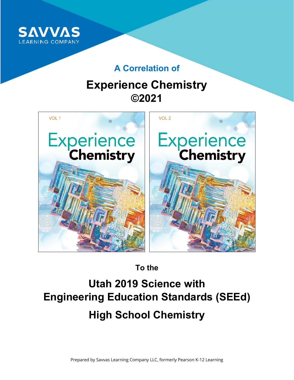

## **A Correlation of**

## **Experience Chemistry ©2021**



**To the**

# **Utah 2019 Science with Engineering Education Standards (SEEd) High School Chemistry**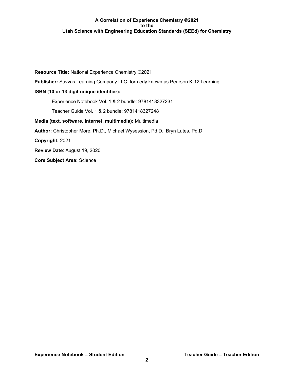**Resource Title:** National Experience Chemistry ©2021 **Publisher:** Savvas Learning Company LLC, formerly known as Pearson K-12 Learning. **ISBN (10 or 13 digit unique identifier):** Experience Notebook Vol. 1 & 2 bundle: 9781418327231 Teacher Guide Vol. 1 & 2 bundle: 9781418327248 **Media (text, software, internet, multimedia):** Multimedia **Author:** Christopher More, Ph.D., Michael Wysession, Pd.D., Bryn Lutes, Pd.D. **Copyright:** 2021 **Review Date**: August 19, 2020 **Core Subject Area:** Science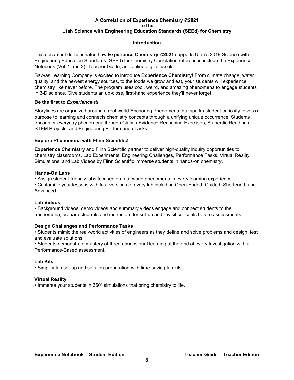## **Introduction**

This document demonstrates how **Experience Chemistry ©2021** supports Utah's 2019 Science with Engineering Education Standards (SEEd) for Chemistry Correlation references include the Experience Notebook (Vol. 1 and 2), Teacher Guide, and online digital assets.

Savvas Learning Company is excited to introduce **Experience Chemistry!** From climate change, water quality, and the newest energy sources, to the foods we grow and eat, your students will experience chemistry like never before. The program uses cool, weird, and amazing phenomena to engage students in 3-D science. Give students an up-close, first-hand experience they'll never forget.

## **Be the first to** *Experience It!*

Storylines are organized around a real-world Anchoring Phenomena that sparks student curiosity, gives a purpose to learning and connects chemistry concepts through a unifying unique occurrence. Students encounter everyday phenomena through Claims-Evidence Reasoning Exercises, Authentic Readings, STEM Projects, and Engineering Performance Tasks.

## **Explore Phenomena with Flinn Scientific!**

**Experience Chemistry** and Flinn Scientific partner to deliver high-quality inquiry opportunities to chemistry classrooms. Lab Experiments, Engineering Challenges, Performance Tasks, Virtual Reality Simulations, and Lab Videos by Flinn Scientific immerse students in hands-on chemistry.

## **Hands-On Labs**

• Assign student-friendly labs focused on real-world phenomena in every learning experience.

• Customize your lessons with four versions of every lab including Open-Ended, Guided, Shortened, and Advanced.

## **Lab Videos**

• Background videos, demo videos and summary videos engage and connect students to the phenomena, prepare students and instructors for set-up and revisit concepts before assessments.

## **Design Challenges and Performance Tasks**

• Students mimic the real-world activities of engineers as they define and solve problems and design, test and evaluate solutions.

• Students demonstrate mastery of three-dimensional learning at the end of every Investigation with a Performance-Based assessment.

## **Lab Kits**

• Simplify lab set-up and solution preparation with time-saving lab kits.

## **Virtual Reality**

• Immerse your students in 360º simulations that bring chemistry to life.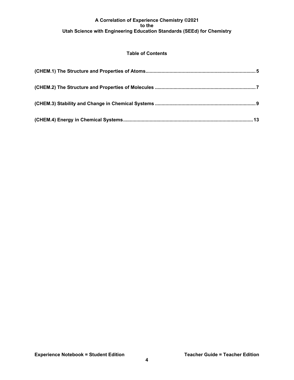## **Table of Contents**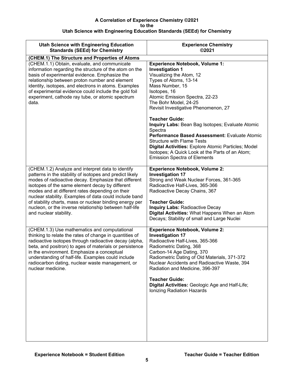<span id="page-4-0"></span>

| <b>Utah Science with Engineering Education</b><br><b>Standards (SEEd) for Chemistry</b>                                                                                                                                                                                                                                                                                                                                                                                              | <b>Experience Chemistry</b><br>©2021                                                                                                                                                                                                                                                                                                                                                                                                                                                                                                                                                      |
|--------------------------------------------------------------------------------------------------------------------------------------------------------------------------------------------------------------------------------------------------------------------------------------------------------------------------------------------------------------------------------------------------------------------------------------------------------------------------------------|-------------------------------------------------------------------------------------------------------------------------------------------------------------------------------------------------------------------------------------------------------------------------------------------------------------------------------------------------------------------------------------------------------------------------------------------------------------------------------------------------------------------------------------------------------------------------------------------|
| (CHEM.1) The Structure and Properties of Atoms                                                                                                                                                                                                                                                                                                                                                                                                                                       |                                                                                                                                                                                                                                                                                                                                                                                                                                                                                                                                                                                           |
| (CHEM.1.1) Obtain, evaluate, and communicate<br>information regarding the structure of the atom on the<br>basis of experimental evidence. Emphasize the<br>relationship between proton number and element<br>identity, isotopes, and electrons in atoms. Examples<br>of experimental evidence could include the gold foil<br>experiment, cathode ray tube, or atomic spectrum<br>data.                                                                                               | <b>Experience Notebook, Volume 1:</b><br><b>Investigation 1</b><br>Visualizing the Atom, 12<br>Types of Atoms, 13-14<br>Mass Number, 15<br>Isotopes, 16<br>Atomic Emission Spectra, 22-23<br>The Bohr Model, 24-25<br>Revisit Investigative Phenomenon, 27<br><b>Teacher Guide:</b><br>Inquiry Labs: Bean Bag Isotopes; Evaluate Atomic<br>Spectra<br>Performance Based Assessment: Evaluate Atomic<br><b>Structure with Flame Tests</b><br>Digital Activities: Explore Atomic Particles; Model<br>Isotopes; A Quick Look at the Parts of an Atom;<br><b>Emission Spectra of Elements</b> |
| (CHEM.1.2) Analyze and interpret data to identify<br>patterns in the stability of isotopes and predict likely<br>modes of radioactive decay. Emphasize that different<br>isotopes of the same element decay by different<br>modes and at different rates depending on their<br>nuclear stability. Examples of data could include band<br>of stability charts, mass or nuclear binding energy per<br>nucleon, or the inverse relationship between half-life<br>and nuclear stability. | <b>Experience Notebook, Volume 2:</b><br><b>Investigation 17</b><br>Strong and Weak Nuclear Forces, 361-365<br>Radioactive Half-Lives, 365-366<br>Radioactive Decay Chains, 367<br><b>Teacher Guide:</b><br><b>Inquiry Labs: Radioactive Decay</b><br>Digital Activities: What Happens When an Atom<br>Decays; Stability of small and Large Nuclei                                                                                                                                                                                                                                        |
| (CHEM.1.3) Use mathematics and computational<br>thinking to relate the rates of change in quantities of<br>radioactive isotopes through radioactive decay (alpha,<br>beta, and positron) to ages of materials or persistence<br>in the environment. Emphasize a conceptual<br>understanding of half-life. Examples could include<br>radiocarbon dating, nuclear waste management, or<br>nuclear medicine.                                                                            | <b>Experience Notebook, Volume 2:</b><br><b>Investigation 17</b><br>Radioactive Half-Lives, 365-366<br>Radiometric Dating, 368<br>Carbon-14 Age Dating, 370<br>Radiometric Dating of Old Materials, 371-372<br>Nuclear Accidents and Radioactive Waste, 394<br>Radiation and Medicine, 396-397<br><b>Teacher Guide:</b><br>Digital Activities: Geologic Age and Half-Life;<br>Ionizing Radiation Hazards                                                                                                                                                                                  |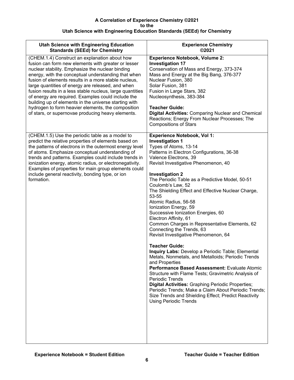| <b>Utah Science with Engineering Education</b><br><b>Standards (SEEd) for Chemistry</b>                                                                                                                                                                                                                                                                                                                                                                                                                                                                                                                             | <b>Experience Chemistry</b><br>©2021                                                                                                                                                                                                                                                                                                                                                                                                                                                                                                                                                                                                                                                                                                                                                                                                                                                                                                                                                                                                                                                                            |
|---------------------------------------------------------------------------------------------------------------------------------------------------------------------------------------------------------------------------------------------------------------------------------------------------------------------------------------------------------------------------------------------------------------------------------------------------------------------------------------------------------------------------------------------------------------------------------------------------------------------|-----------------------------------------------------------------------------------------------------------------------------------------------------------------------------------------------------------------------------------------------------------------------------------------------------------------------------------------------------------------------------------------------------------------------------------------------------------------------------------------------------------------------------------------------------------------------------------------------------------------------------------------------------------------------------------------------------------------------------------------------------------------------------------------------------------------------------------------------------------------------------------------------------------------------------------------------------------------------------------------------------------------------------------------------------------------------------------------------------------------|
| (CHEM.1.4) Construct an explanation about how<br>fusion can form new elements with greater or lesser<br>nuclear stability. Emphasize the nuclear binding<br>energy, with the conceptual understanding that when<br>fusion of elements results in a more stable nucleus,<br>large quantities of energy are released, and when<br>fusion results in a less stable nucleus, large quantities<br>of energy are required. Examples could include the<br>building up of elements in the universe starting with<br>hydrogen to form heavier elements, the composition<br>of stars, or supernovae producing heavy elements. | <b>Experience Notebook, Volume 2:</b><br><b>Investigation 17</b><br>Conservation of Mass and Energy, 373-374<br>Mass and Energy at the Big Bang, 376-377<br>Nuclear Fusion, 380<br>Solar Fusion, 381<br>Fusion in Large Stars, 382<br>Nucleosynthesis, 383-384<br><b>Teacher Guide:</b><br><b>Digital Activities: Comparing Nuclear and Chemical</b><br>Reactions; Energy From Nuclear Processes; The<br><b>Compositions of Stars</b>                                                                                                                                                                                                                                                                                                                                                                                                                                                                                                                                                                                                                                                                           |
| (CHEM.1.5) Use the periodic table as a model to<br>predict the relative properties of elements based on<br>the patterns of electrons in the outermost energy level<br>of atoms. Emphasize conceptual understanding of<br>trends and patterns. Examples could include trends in<br>ionization energy, atomic radius, or electronegativity.<br>Examples of properties for main group elements could<br>include general reactivity, bonding type, or ion<br>formation.                                                                                                                                                 | <b>Experience Notebook, Vol 1:</b><br><b>Investigation 1</b><br>Types of Atoms, 13-14<br>Patterns in Electron Configurations, 36-38<br>Valence Electrons, 39<br>Revisit Investigative Phenomenon, 40<br><b>Investigation 2</b><br>The Periodic Table as a Predictive Model, 50-51<br>Coulomb's Law, 52<br>The Shielding Effect and Effective Nuclear Charge,<br>53-55<br>Atomic Radius, 56-58<br>Ionization Energy, 59<br>Successive Ionization Energies, 60<br>Electron Affinity, 61<br>Common Charges in Representative Elements, 62<br>Connecting the Trends, 63<br>Revisit Investigative Phenomenon, 64<br><b>Teacher Guide:</b><br>Inquiry Labs: Develop a Periodic Table; Elemental<br>Metals, Nonmetals, and Metalloids; Periodic Trends<br>and Properties<br>Performance Based Assessment: Evaluate Atomic<br>Structure with Flame Tests; Gravimetric Analysis of<br><b>Periodic Trends</b><br><b>Digital Activities: Graphing Periodic Properties;</b><br>Periodic Trends; Make a Claim About Periodic Trends;<br>Size Trends and Shielding Effect; Predict Reactivity<br><b>Using Periodic Trends</b> |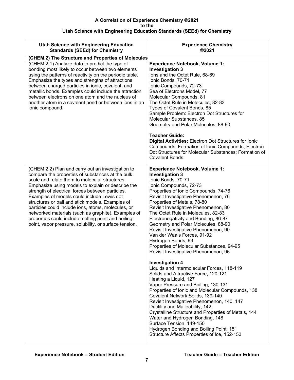<span id="page-6-0"></span>

| <b>Utah Science with Engineering Education</b><br><b>Standards (SEEd) for Chemistry</b>                                                                                                                                                                                                                                                                                                                                                                                                                                                                                                         | <b>Experience Chemistry</b><br>©2021                                                                                                                                                                                                                                                                                                                                                                                                                                                                                                                                                                                                                                                                                                                                                                                                                                                                                                                                                                                                                                                                                                                    |
|-------------------------------------------------------------------------------------------------------------------------------------------------------------------------------------------------------------------------------------------------------------------------------------------------------------------------------------------------------------------------------------------------------------------------------------------------------------------------------------------------------------------------------------------------------------------------------------------------|---------------------------------------------------------------------------------------------------------------------------------------------------------------------------------------------------------------------------------------------------------------------------------------------------------------------------------------------------------------------------------------------------------------------------------------------------------------------------------------------------------------------------------------------------------------------------------------------------------------------------------------------------------------------------------------------------------------------------------------------------------------------------------------------------------------------------------------------------------------------------------------------------------------------------------------------------------------------------------------------------------------------------------------------------------------------------------------------------------------------------------------------------------|
| (CHEM.2) The Structure and Properties of Molecules                                                                                                                                                                                                                                                                                                                                                                                                                                                                                                                                              |                                                                                                                                                                                                                                                                                                                                                                                                                                                                                                                                                                                                                                                                                                                                                                                                                                                                                                                                                                                                                                                                                                                                                         |
| (CHEM.2.1) Analyze data to predict the type of<br>bonding most likely to occur between two elements<br>using the patterns of reactivity on the periodic table.<br>Emphasize the types and strengths of attractions<br>between charged particles in ionic, covalent, and<br>metallic bonds. Examples could include the attraction<br>between electrons on one atom and the nucleus of<br>another atom in a covalent bond or between ions in an<br>ionic compound.                                                                                                                                | <b>Experience Notebook, Volume 1:</b><br><b>Investigation 3</b><br>lons and the Octet Rule, 68-69<br>Ionic Bonds, 70-71<br>Ionic Compounds, 72-73<br>Sea of Electrons Model, 77<br>Molecular Compounds, 81<br>The Octet Rule in Molecules, 82-83<br>Types of Covalent Bonds, 85<br>Sample Problem: Electron Dot Structures for<br>Molecular Substances, 85<br>Geometry and Polar Molecules, 88-90<br><b>Teacher Guide:</b><br><b>Digital Activities: Electron Dot Structures for lonic</b><br>Compounds; Formation of Ionic Compounds; Electron<br>Dot Structures for Molecular Substances; Formation of<br><b>Covalent Bonds</b>                                                                                                                                                                                                                                                                                                                                                                                                                                                                                                                       |
| (CHEM.2.2) Plan and carry out an investigation to<br>compare the properties of substances at the bulk<br>scale and relate them to molecular structures.<br>Emphasize using models to explain or describe the<br>strength of electrical forces between particles.<br>Examples of models could include Lewis dot<br>structures or ball and stick models. Examples of<br>particles could include ions, atoms, molecules, or<br>networked materials (such as graphite). Examples of<br>properties could include melting point and boiling<br>point, vapor pressure, solubility, or surface tension. | <b>Experience Notebook, Volume 1:</b><br><b>Investigation 3</b><br>Ionic Bonds, 70-71<br>Ionic Compounds, 72-73<br>Properties of Ionic Compounds, 74-76<br>Revisit Investigative Phenomenon, 76<br>Properties of Metals, 78-80<br>Revisit Investigative Phenomenon, 80<br>The Octet Rule in Molecules, 82-83<br>Electronegativity and Bonding, 86-87<br>Geometry and Polar Molecules, 88-90<br>Revisit Investigative Phenomenon, 90<br>Van der Waals Forces, 91-92<br>Hydrogen Bonds, 93<br>Properties of Molecular Substances, 94-95<br>Revisit Investigative Phenomenon, 96<br><b>Investigation 4</b><br>Liquids and Intermolecular Forces, 118-119<br>Solids and Attractive Force, 120-121<br>Heating a Liquid, 127<br>Vapor Pressure and Boiling, 130-131<br>Properties of Ionic and Molecular Compounds, 138<br>Covalent Network Solids, 139-140<br>Revisit Investigative Phenomenon, 140, 147<br>Ductility and Malleability, 142<br>Crystalline Structure and Properties of Metals, 144<br>Water and Hydrogen Bonding, 148<br>Surface Tension, 149-150<br>Hydrogen Bonding and Boiling Point, 151<br>Structure Affects Properties of Ice, 152-153 |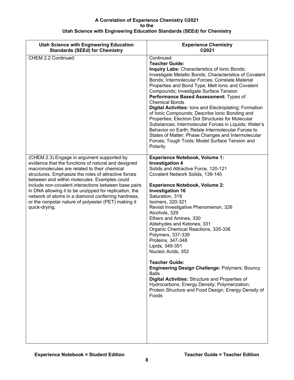| <b>Utah Science with Engineering Education</b><br><b>Standards (SEEd) for Chemistry</b>                                                                                                                                                                                                                                                                                                                                                                                                                   | <b>Experience Chemistry</b><br>©2021                                                                                                                                                                                                                                                                                                                                                                                                                                                                                                                                                                                                                                                                                                                                             |
|-----------------------------------------------------------------------------------------------------------------------------------------------------------------------------------------------------------------------------------------------------------------------------------------------------------------------------------------------------------------------------------------------------------------------------------------------------------------------------------------------------------|----------------------------------------------------------------------------------------------------------------------------------------------------------------------------------------------------------------------------------------------------------------------------------------------------------------------------------------------------------------------------------------------------------------------------------------------------------------------------------------------------------------------------------------------------------------------------------------------------------------------------------------------------------------------------------------------------------------------------------------------------------------------------------|
| CHEM 2.2 Continued:                                                                                                                                                                                                                                                                                                                                                                                                                                                                                       | Continued:<br><b>Teacher Guide:</b><br>Inquiry Labs: Characteristics of Ionic Bonds;<br>Investigate Metallic Bonds; Characteristics of Covalent<br>Bonds; Intermolecular Forces; Correlate Material<br>Properties and Bond Type; Melt Ionic and Covalent<br>Compounds; Investigate Surface Tension<br>Performance Based Assessment: Types of<br><b>Chemical Bonds</b><br><b>Digital Activities: lons and Electroplating; Formation</b><br>of Ionic Compounds; Describe Ionic Bonding and<br>Properties; Electron Dot Structures for Molecular<br>Substances; Intermolecular Forces in Liquids; Water's<br>Behavior on Earth; Relate Intermolecular Forces to<br>States of Matter; Phase Changes and Intermolecular<br>Forces; Tough Tools; Model Surface Tension and<br>Polarity |
| (CHEM.2.3) Engage in argument supported by<br>evidence that the functions of natural and designed<br>macromolecules are related to their chemical<br>structures. Emphasize the roles of attractive forces<br>between and within molecules. Examples could<br>include non-covalent interactions between base pairs<br>in DNA allowing it to be unzipped for replication, the<br>network of atoms in a diamond conferring hardness,<br>or the nonpolar nature of polyester (PET) making it<br>quick-drying. | <b>Experience Notebook, Volume 1:</b><br><b>Investigation 4</b><br>Solids and Attractive Force, 120-121<br>Covalent Network Solids, 139-140<br><b>Experience Notebook, Volume 2:</b><br><b>Investigation 16</b><br>Saturation, 319<br>Isomers, 320-321<br>Revisit Investigative Phenomenon, 326<br>Alcohols, 329<br>Ethers and Amines, 330<br>Aldehydes and Ketones, 331<br>Organic Chemical Reactions, 335-336<br>Polymers, 337-339<br>Proteins, 347-348<br>Lipids, 349-351<br>Nucleic Acids, 352<br><b>Teacher Guide:</b><br><b>Engineering Design Challenge: Polymers: Bouncy</b><br><b>Balls</b><br>Digital Activities: Structure and Properties of<br>Hydrocarbons; Energy Density; Polymerization;<br>Protein Structure and Food Design; Energy Density of<br>Foods        |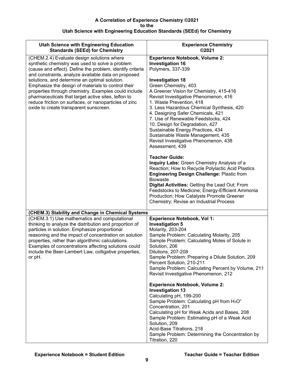<span id="page-8-0"></span>

| <b>Utah Science with Engineering Education</b><br><b>Standards (SEEd) for Chemistry</b>                                                                                                                                                                                                                                                                                                                                                                                                                                                    | <b>Experience Chemistry</b><br>©2021                                                                                                                                                                                                                                                                                                                                                                                                                                                                                                                                                                                                                                                                                                                                                                                                                                                                                                                          |
|--------------------------------------------------------------------------------------------------------------------------------------------------------------------------------------------------------------------------------------------------------------------------------------------------------------------------------------------------------------------------------------------------------------------------------------------------------------------------------------------------------------------------------------------|---------------------------------------------------------------------------------------------------------------------------------------------------------------------------------------------------------------------------------------------------------------------------------------------------------------------------------------------------------------------------------------------------------------------------------------------------------------------------------------------------------------------------------------------------------------------------------------------------------------------------------------------------------------------------------------------------------------------------------------------------------------------------------------------------------------------------------------------------------------------------------------------------------------------------------------------------------------|
| (CHEM.2.4) Evaluate design solutions where<br>synthetic chemistry was used to solve a problem<br>(cause and effect). Define the problem, identify criteria<br>and constraints, analyze available data on proposed<br>solutions, and determine an optimal solution.<br>Emphasize the design of materials to control their<br>properties through chemistry. Examples could include<br>pharmaceuticals that target active sites, teflon to<br>reduce friction on surfaces, or nanoparticles of zinc<br>oxide to create transparent sunscreen. | <b>Experience Notebook, Volume 2:</b><br><b>Investigation 16</b><br>Polymers, 337-339<br><b>Investigation 18</b><br>Green Chemistry, 403<br>A Greener Vision for Chemistry, 415-416<br>Revisit Investigative Phenomenon, 416<br>1. Waste Prevention, 418<br>3. Less Hazardous Chemical Synthesis, 420<br>4. Designing Safer Chemicals, 421<br>7. Use of Renewable Feedstocks, 424<br>10. Design for Degradation, 427<br>Sustainable Energy Practices, 434<br>Sustainable Waste Management, 435<br>Revisit Investigative Phenomenon, 438<br>Assessment, 439<br><b>Teacher Guide:</b><br>Inquiry Labs: Green Chemistry Analysis of a<br>Reaction; How to Recycle Polylactic Acid Plastics<br><b>Engineering Design Challenge: Plastic from</b><br><b>Biowaste</b><br>Digital Activities: Getting the Lead Out; From<br>Feedstocks to Medicine; Energy-Efficient Ammonia<br>Production; How Catalysts Promote Greener<br>Chemistry; Revise an Industrial Process |
| (CHEM.3) Stability and Change in Chemical Systems                                                                                                                                                                                                                                                                                                                                                                                                                                                                                          |                                                                                                                                                                                                                                                                                                                                                                                                                                                                                                                                                                                                                                                                                                                                                                                                                                                                                                                                                               |
| (CHEM.3.1) Use mathematics and computational<br>thinking to analyze the distribution and proportion of<br>particles in solution. Emphasize proportional<br>reasoning and the impact of concentration on solution<br>properties, rather than algorithmic calculations.<br>Examples of concentrations affecting solutions could<br>include the Beer-Lambert Law, colligative properties,<br>or pH.                                                                                                                                           | <b>Experience Notebook, Vol 1:</b><br><b>Investigation 5</b><br>Molarity, 203-204<br>Sample Problem: Calculating Molarity, 205<br>Sample Problem: Calculating Moles of Solute in<br>Solution, 206<br>Dilutions, 207-208<br>Sample Problem: Preparing a Dilute Solution, 209<br>Percent Solution, 210-211<br>Sample Problem: Calculating Percent by Volume, 211<br>Revisit Investigative Phenomenon, 212                                                                                                                                                                                                                                                                                                                                                                                                                                                                                                                                                       |
|                                                                                                                                                                                                                                                                                                                                                                                                                                                                                                                                            | <b>Experience Notebook, Volume 2:</b><br><b>Investigation 13</b><br>Calculating pH, 199-200<br>Sample Problem: Calculating pH from H <sub>3</sub> O <sup>+</sup><br>Concentration, 201<br>Calculating pH for Weak Acids and Bases, 208<br>Sample Problem: Estimating pH of a Weak Acid<br>Solution, 209<br>Acid-Base Titrations, 218<br>Sample Problem: Determining the Concentration by<br>Titration, 220                                                                                                                                                                                                                                                                                                                                                                                                                                                                                                                                                    |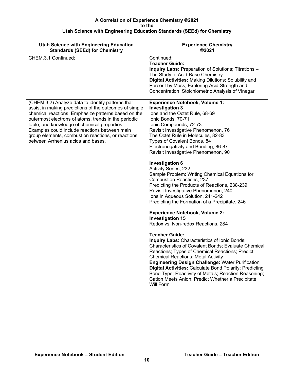| <b>Experience Chemistry</b><br>©2021                                                                                                                                                                                                                                                                                                                                                                                                                                                                                                                                                                                                                                                                                                                                                                                                                                                                                     |
|--------------------------------------------------------------------------------------------------------------------------------------------------------------------------------------------------------------------------------------------------------------------------------------------------------------------------------------------------------------------------------------------------------------------------------------------------------------------------------------------------------------------------------------------------------------------------------------------------------------------------------------------------------------------------------------------------------------------------------------------------------------------------------------------------------------------------------------------------------------------------------------------------------------------------|
| Continued:<br><b>Teacher Guide:</b><br><b>Inquiry Labs: Preparation of Solutions; Titrations -</b><br>The Study of Acid-Base Chemistry<br>Digital Activities: Making Dilutions; Solubility and<br>Percent by Mass; Exploring Acid Strength and<br>Concentration; Stoichiometric Analysis of Vinegar                                                                                                                                                                                                                                                                                                                                                                                                                                                                                                                                                                                                                      |
| <b>Experience Notebook, Volume 1:</b><br><b>Investigation 3</b><br>lons and the Octet Rule, 68-69<br>Ionic Bonds, 70-71<br>Ionic Compounds, 72-73<br>Revisit Investigative Phenomenon, 76<br>The Octet Rule in Molecules, 82-83<br>Types of Covalent Bonds, 84<br>Electronegativity and Bonding, 86-87<br>Revisit Investigative Phenomenon, 90                                                                                                                                                                                                                                                                                                                                                                                                                                                                                                                                                                           |
| <b>Investigation 6</b><br>Activity Series, 232<br>Sample Problem: Writing Chemical Equations for<br><b>Combustion Reactions, 237</b><br>Predicting the Products of Reactions, 238-239<br>Revisit Investigative Phenomenon, 240<br>Ions in Aqueous Solution, 241-242<br>Predicting the Formation of a Precipitate, 246<br><b>Experience Notebook, Volume 2:</b><br><b>Investigation 15</b><br>Redox vs. Non-redox Reactions, 284<br><b>Teacher Guide:</b><br>Inquiry Labs: Characteristics of Ionic Bonds;<br><b>Characteristics of Covalent Bonds; Evaluate Chemical</b><br>Reactions; Types of Chemical Reactions; Predict<br>Chemical Reactions; Metal Activity<br><b>Engineering Design Challenge: Water Purification</b><br><b>Digital Activities: Calculate Bond Polarity; Predicting</b><br>Bond Type; Reactivity of Metals; Reaction Reasoning;<br>Cation Meets Anion; Predict Whether a Precipitate<br>Will Form |
|                                                                                                                                                                                                                                                                                                                                                                                                                                                                                                                                                                                                                                                                                                                                                                                                                                                                                                                          |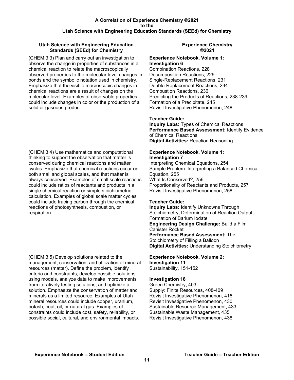| <b>Utah Science with Engineering Education</b><br><b>Standards (SEEd) for Chemistry</b>                                                                                                                                                                                                                                                                                                                                                                                                                                                                                                                                                                      | <b>Experience Chemistry</b><br>©2021                                                                                                                                                                                                                                                                                                                                                                                                                                                                                                                                                                                                                                                |
|--------------------------------------------------------------------------------------------------------------------------------------------------------------------------------------------------------------------------------------------------------------------------------------------------------------------------------------------------------------------------------------------------------------------------------------------------------------------------------------------------------------------------------------------------------------------------------------------------------------------------------------------------------------|-------------------------------------------------------------------------------------------------------------------------------------------------------------------------------------------------------------------------------------------------------------------------------------------------------------------------------------------------------------------------------------------------------------------------------------------------------------------------------------------------------------------------------------------------------------------------------------------------------------------------------------------------------------------------------------|
| (CHEM.3.3) Plan and carry out an investigation to<br>observe the change in properties of substances in a<br>chemical reaction to relate the macroscopically<br>observed properties to the molecular level changes in<br>bonds and the symbolic notation used in chemistry.<br>Emphasize that the visible macroscopic changes in<br>chemical reactions are a result of changes on the<br>molecular level. Examples of observable properties<br>could include changes in color or the production of a<br>solid or gaseous product.                                                                                                                             | <b>Experience Notebook, Volume 1:</b><br><b>Investigation 6</b><br><b>Combination Reactions, 228</b><br>Decomposition Reactions, 229<br>Single-Replacement Reactions, 231<br>Double-Replacement Reactions, 234<br><b>Combustion Reactions, 236</b><br>Predicting the Products of Reactions, 238-239<br>Formation of a Precipitate, 245<br>Revisit Investigative Phenomenon, 248<br><b>Teacher Guide:</b><br><b>Inquiry Labs: Types of Chemical Reactions</b><br>Performance Based Assessment: Identify Evidence<br>of Chemical Reactions<br><b>Digital Activities: Reaction Reasoning</b>                                                                                           |
| (CHEM.3.4) Use mathematics and computational<br>thinking to support the observation that matter is<br>conserved during chemical reactions and matter<br>cycles. Emphasize that chemical reactions occur on<br>both small and global scales, and that matter is<br>always conserved. Examples of small scale reactions<br>could include ratios of reactants and products in a<br>single chemical reaction or simple stoichiometric<br>calculation. Examples of global scale matter cycles<br>could include tracing carbon through the chemical<br>reactions of photosynthesis, combustion, or<br>respiration.                                                 | <b>Experience Notebook, Volume 1:</b><br><b>Investigation 7</b><br>Interpreting Chemical Equations, 254<br>Sample Problem: Interpreting a Balanced Chemical<br>Equation, 255<br>What Is Conserved?, 256<br>Proportionality of Reactants and Products, 257<br>Revisit Investigative Phenomenon, 258<br><b>Teacher Guide:</b><br><b>Inquiry Labs: Identify Unknowns Through</b><br>Stoichiometry; Determination of Reaction Output;<br>Formation of Barium Iodate<br>Engineering Design Challenge: Build a Film<br><b>Canister Rocket</b><br><b>Performance Based Assessment: The</b><br>Stoichiometry of Filling a Balloon<br><b>Digital Activities: Understanding Stoichiometry</b> |
| (CHEM.3.5) Develop solutions related to the<br>management, conservation, and utilization of mineral<br>resources (matter). Define the problem, identify<br>criteria and constraints, develop possible solutions<br>using models, analyze data to make improvements<br>from iteratively testing solutions, and optimize a<br>solution. Emphasize the conservation of matter and<br>minerals as a limited resource. Examples of Utah<br>mineral resources could include copper, uranium,<br>potash, coal, oil, or natural gas. Examples of<br>constraints could include cost, safety, reliability, or<br>possible social, cultural, and environmental impacts. | <b>Experience Notebook, Volume 2:</b><br><b>Investigation 11</b><br>Sustainability, 151-152<br><b>Investigation 18</b><br>Green Chemistry, 403<br>Supply: Finite Resources, 408-409<br>Revisit Investigative Phenomenon, 416<br>Revisit Investigative Phenomenon, 430<br>Sustainable Resource Management, 433<br>Sustainable Waste Management, 435<br>Revisit Investigative Phenomenon, 438                                                                                                                                                                                                                                                                                         |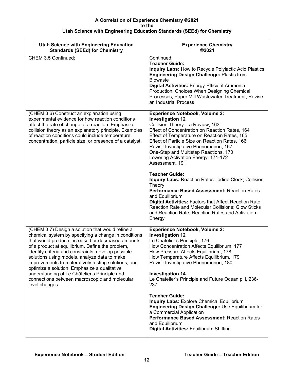| <b>Utah Science with Engineering Education</b><br><b>Standards (SEEd) for Chemistry</b>                                                                                                                                                                                                                                                                                                                                                                                                                                                              | <b>Experience Chemistry</b><br>©2021                                                                                                                                                                                                                                                                                                                                                                                                                                                                                                                                                                                                                                                                                                               |
|------------------------------------------------------------------------------------------------------------------------------------------------------------------------------------------------------------------------------------------------------------------------------------------------------------------------------------------------------------------------------------------------------------------------------------------------------------------------------------------------------------------------------------------------------|----------------------------------------------------------------------------------------------------------------------------------------------------------------------------------------------------------------------------------------------------------------------------------------------------------------------------------------------------------------------------------------------------------------------------------------------------------------------------------------------------------------------------------------------------------------------------------------------------------------------------------------------------------------------------------------------------------------------------------------------------|
| CHEM 3.5 Continued:                                                                                                                                                                                                                                                                                                                                                                                                                                                                                                                                  | Continued:<br><b>Teacher Guide:</b><br><b>Inquiry Labs: How to Recycle Polylactic Acid Plastics</b><br><b>Engineering Design Challenge: Plastic from</b><br><b>Biowaste</b><br>Digital Activities: Energy-Efficient Ammonia<br>Production; Choices When Designing Chemical<br>Processes; Paper Mill Wastewater Treatment; Revise<br>an Industrial Process                                                                                                                                                                                                                                                                                                                                                                                          |
| (CHEM.3.6) Construct an explanation using<br>experimental evidence for how reaction conditions<br>affect the rate of change of a reaction. Emphasize<br>collision theory as an explanatory principle. Examples<br>of reaction conditions could include temperature,<br>concentration, particle size, or presence of a catalyst.                                                                                                                                                                                                                      | <b>Experience Notebook, Volume 2:</b><br><b>Investigation 12</b><br>Collision Theory - a Review, 163<br>Effect of Concentration on Reaction Rates, 164<br>Effect of Temperature on Reaction Rates, 165<br>Effect of Particle Size on Reaction Rates, 166<br>Revisit Investigative Phenomenon, 167<br>One-Step and Multistep Reactions, 170<br>Lowering Activation Energy, 171-172<br>Assessment, 191<br><b>Teacher Guide:</b><br>Inquiry Labs: Reaction Rates: Iodine Clock; Collision<br>Theory<br>Performance Based Assessment: Reaction Rates<br>and Equilibrium<br>Digital Activities: Factors that Affect Reaction Rate;<br>Reaction Rate and Molecular Collisions; Glow Sticks<br>and Reaction Rate; Reaction Rates and Activation<br>Energy |
| (CHEM.3.7) Design a solution that would refine a<br>chemical system by specifying a change in conditions<br>that would produce increased or decreased amounts<br>of a product at equilibrium. Define the problem,<br>identify criteria and constraints, develop possible<br>solutions using models, analyze data to make<br>improvements from iteratively testing solutions, and<br>optimize a solution. Emphasize a qualitative<br>understanding of Le Châtelier's Principle and<br>connections between macroscopic and molecular<br>level changes. | <b>Experience Notebook, Volume 2:</b><br><b>Investigation 12</b><br>Le Chatelier's Principle, 176<br>How Concentration Affects Equilibrium, 177<br>How Pressure Affects Equilibrium, 178<br>How Temperature Affects Equilibrium, 179<br>Revisit Investigative Phenomenon, 180<br><b>Investigation 14</b><br>Le Chatelier's Principle and Future Ocean pH, 236-<br>237<br><b>Teacher Guide:</b><br>Inquiry Labs: Explore Chemical Equilibrium<br>Engineering Design Challenge: Use Equilibrium for<br>a Commercial Application<br>Performance Based Assessment: Reaction Rates<br>and Equilibrium<br><b>Digital Activities: Equilibrium Shifting</b>                                                                                                |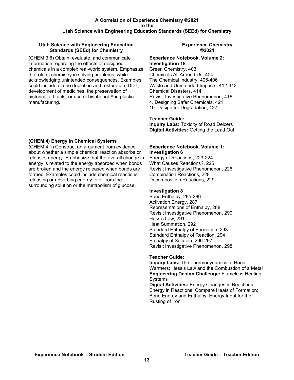<span id="page-12-0"></span>

| <b>Utah Science with Engineering Education</b><br><b>Standards (SEEd) for Chemistry</b>                                                                                                                                                                                                                                                                                                                                                         | <b>Experience Chemistry</b><br>©2021                                                                                                                                                                                                                                                                                                                                                                                                                                                                                                                                                                                                                                                                                                                                                                                                                                                                                                                                                 |
|-------------------------------------------------------------------------------------------------------------------------------------------------------------------------------------------------------------------------------------------------------------------------------------------------------------------------------------------------------------------------------------------------------------------------------------------------|--------------------------------------------------------------------------------------------------------------------------------------------------------------------------------------------------------------------------------------------------------------------------------------------------------------------------------------------------------------------------------------------------------------------------------------------------------------------------------------------------------------------------------------------------------------------------------------------------------------------------------------------------------------------------------------------------------------------------------------------------------------------------------------------------------------------------------------------------------------------------------------------------------------------------------------------------------------------------------------|
| (CHEM.3.8) Obtain, evaluate, and communicate<br>information regarding the effects of designed<br>chemicals in a complex real-world system. Emphasize<br>the role of chemistry in solving problems, while<br>acknowledging unintended consequences. Examples<br>could include ozone depletion and restoration, DDT,<br>development of medicines, the preservation of<br>historical artifacts, or use of bisphenol-A in plastic<br>manufacturing. | <b>Experience Notebook, Volume 2:</b><br><b>Investigation 18</b><br>Green Chemistry, 403<br>Chemicals All Around Us, 404<br>The Chemical Industry, 405-406<br>Waste and Unintended Impacts, 412-413<br>Chemical Disasters, 414<br>Revisit Investigative Phenomenon, 416<br>4. Designing Safer Chemicals, 421<br>10. Design for Degradation, 427<br><b>Teacher Guide:</b><br>Inquiry Labs: Toxicity of Road Deicers<br><b>Digital Activities: Getting the Lead Out</b>                                                                                                                                                                                                                                                                                                                                                                                                                                                                                                                |
| (CHEM.4) Energy in Chemical Systems                                                                                                                                                                                                                                                                                                                                                                                                             |                                                                                                                                                                                                                                                                                                                                                                                                                                                                                                                                                                                                                                                                                                                                                                                                                                                                                                                                                                                      |
| (CHEM.4.1) Construct an argument from evidence<br>about whether a simple chemical reaction absorbs or<br>releases energy. Emphasize that the overall change in<br>energy is related to the energy absorbed when bonds<br>are broken and the energy released when bonds are<br>formed. Examples could include chemical reactions<br>releasing or absorbing energy to or from the<br>surrounding solution or the metabolism of glucose.           | <b>Experience Notebook, Volume 1:</b><br><b>Investigation 6</b><br>Energy of Reactions, 223-224<br>What Causes Reactions?, 225<br>Revisit Investigative Phenomenon, 226<br><b>Combination Reactions, 228</b><br>Decomposition Reactions, 229<br><b>Investigation 8</b><br>Bond Enthalpy, 285-286<br>Activation Energy, 287<br>Representations of Enthalpy, 288<br>Revisit Investigative Phenomenon, 290<br>Hess's Law, 291<br>Heat Summation, 292<br>Standard Enthalpy of Formation, 293<br>Standard Enthalpy of Reaction, 294<br>Enthalpy of Solution, 296-297<br>Revisit Investigative Phenomenon, 298<br><b>Teacher Guide:</b><br>Inquiry Labs: The Thermodynamics of Hand<br>Warmers; Hess's Law and the Combustion of a Metal<br><b>Engineering Design Challenge: Flameless Heating</b><br>Systems<br>Digital Activities: Energy Changes in Reactions;<br>Energy in Reactions; Compare Heats of Formation;<br>Bond Energy and Enthalpy; Energy Input for the<br>Rusting of Iron |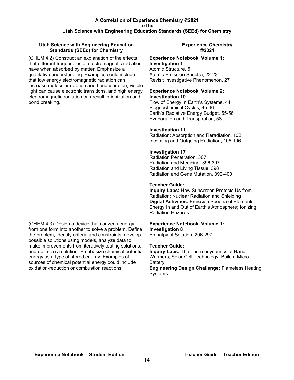| <b>Utah Science with Engineering Education</b>                                                                                                                                                                                                                                                                                                                                                                                                                     | <b>Experience Chemistry</b>                                                                                                                                                                                                                                                                                                                                                                                                                                                                                                                                                                                                                                                                                                                                                                                                                                                                                                                            |
|--------------------------------------------------------------------------------------------------------------------------------------------------------------------------------------------------------------------------------------------------------------------------------------------------------------------------------------------------------------------------------------------------------------------------------------------------------------------|--------------------------------------------------------------------------------------------------------------------------------------------------------------------------------------------------------------------------------------------------------------------------------------------------------------------------------------------------------------------------------------------------------------------------------------------------------------------------------------------------------------------------------------------------------------------------------------------------------------------------------------------------------------------------------------------------------------------------------------------------------------------------------------------------------------------------------------------------------------------------------------------------------------------------------------------------------|
| <b>Standards (SEEd) for Chemistry</b>                                                                                                                                                                                                                                                                                                                                                                                                                              | ©2021                                                                                                                                                                                                                                                                                                                                                                                                                                                                                                                                                                                                                                                                                                                                                                                                                                                                                                                                                  |
| (CHEM.4.2) Construct an explanation of the effects<br>that different frequencies of electromagnetic radiation<br>have when absorbed by matter. Emphasize a<br>qualitative understanding. Examples could include<br>that low energy electromagnetic radiation can<br>increase molecular rotation and bond vibration, visible<br>light can cause electronic transitions, and high energy<br>electromagnetic radiation can result in ionization and<br>bond breaking. | <b>Experience Notebook, Volume 1:</b><br><b>Investigation 1</b><br>Atomic Structure, 5<br>Atomic Emission Spectra, 22-23<br>Revisit Investigative Phenomenon, 27<br><b>Experience Notebook, Volume 2:</b><br><b>Investigation 10</b><br>Flow of Energy in Earth's Systems, 44<br>Biogeochemical Cycles, 45-46<br>Earth's Radiative Energy Budget, 55-56<br>Evaporation and Transpiration, 58<br><b>Investigation 11</b><br>Radiation: Absorption and Reradiation, 102<br>Incoming and Outgoing Radiation, 105-106<br><b>Investigation 17</b><br>Radiation Penetration, 387<br>Radiation and Medicine, 396-397<br>Radiation and Living Tissue, 398<br>Radiation and Gene Mutation, 399-400<br><b>Teacher Guide:</b><br>Inquiry Labs: How Sunscreen Protects Us from<br>Radiation; Nuclear Radiation and Shielding<br>Digital Activities: Emission Spectra of Elements;<br>Energy In and Out of Earth's Atmosphere; Ionizing<br><b>Radiation Hazards</b> |
| (CHEM.4.3) Design a device that converts energy                                                                                                                                                                                                                                                                                                                                                                                                                    | <b>Experience Notebook, Volume 1:</b>                                                                                                                                                                                                                                                                                                                                                                                                                                                                                                                                                                                                                                                                                                                                                                                                                                                                                                                  |
| from one form into another to solve a problem. Define                                                                                                                                                                                                                                                                                                                                                                                                              | <b>Investigation 8</b>                                                                                                                                                                                                                                                                                                                                                                                                                                                                                                                                                                                                                                                                                                                                                                                                                                                                                                                                 |
| the problem, identify criteria and constraints, develop                                                                                                                                                                                                                                                                                                                                                                                                            | Enthalpy of Solution, 296-297                                                                                                                                                                                                                                                                                                                                                                                                                                                                                                                                                                                                                                                                                                                                                                                                                                                                                                                          |
| possible solutions using models, analyze data to                                                                                                                                                                                                                                                                                                                                                                                                                   | <b>Teacher Guide:</b>                                                                                                                                                                                                                                                                                                                                                                                                                                                                                                                                                                                                                                                                                                                                                                                                                                                                                                                                  |
| make improvements from iteratively testing solutions,                                                                                                                                                                                                                                                                                                                                                                                                              | Inquiry Labs: The Thermodynamics of Hand                                                                                                                                                                                                                                                                                                                                                                                                                                                                                                                                                                                                                                                                                                                                                                                                                                                                                                               |
| and optimize a solution. Emphasize chemical potential                                                                                                                                                                                                                                                                                                                                                                                                              | Warmers; Solar Cell Technology; Build a Micro                                                                                                                                                                                                                                                                                                                                                                                                                                                                                                                                                                                                                                                                                                                                                                                                                                                                                                          |
| energy as a type of stored energy. Examples of                                                                                                                                                                                                                                                                                                                                                                                                                     | <b>Battery</b>                                                                                                                                                                                                                                                                                                                                                                                                                                                                                                                                                                                                                                                                                                                                                                                                                                                                                                                                         |
| sources of chemical potential energy could include                                                                                                                                                                                                                                                                                                                                                                                                                 | <b>Engineering Design Challenge: Flameless Heating</b>                                                                                                                                                                                                                                                                                                                                                                                                                                                                                                                                                                                                                                                                                                                                                                                                                                                                                                 |
| oxidation-reduction or combustion reactions.                                                                                                                                                                                                                                                                                                                                                                                                                       | Systems                                                                                                                                                                                                                                                                                                                                                                                                                                                                                                                                                                                                                                                                                                                                                                                                                                                                                                                                                |